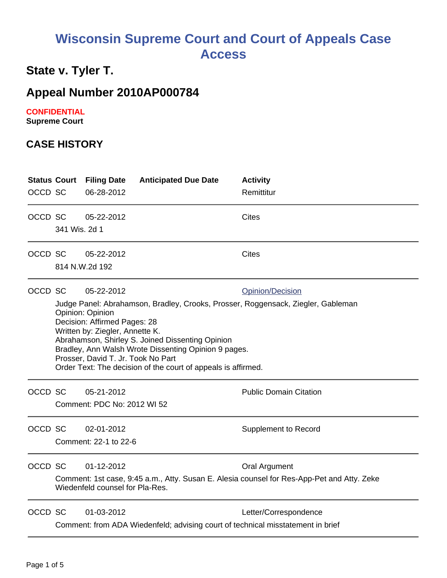# **Wisconsin Supreme Court and Court of Appeals Case Access**

## **State v. Tyler T.**

## **Appeal Number 2010AP000784**

#### **CONFIDENTIAL**

**Supreme Court** 

#### **CASE HISTORY**

| OCCD SC |                                                                                                                                                                                                                                                                                                                                                                                                                                     | <b>Status Court Filing Date</b><br>06-28-2012 | <b>Anticipated Due Date</b>                                                     | <b>Activity</b><br>Remittitur |  |
|---------|-------------------------------------------------------------------------------------------------------------------------------------------------------------------------------------------------------------------------------------------------------------------------------------------------------------------------------------------------------------------------------------------------------------------------------------|-----------------------------------------------|---------------------------------------------------------------------------------|-------------------------------|--|
| OCCD SC | 341 Wis. 2d 1                                                                                                                                                                                                                                                                                                                                                                                                                       | 05-22-2012                                    |                                                                                 | Cites                         |  |
| OCCD SC |                                                                                                                                                                                                                                                                                                                                                                                                                                     | 05-22-2012<br>814 N.W.2d 192                  |                                                                                 | <b>Cites</b>                  |  |
| OCCD SC | 05-22-2012<br><b>Opinion/Decision</b><br>Judge Panel: Abrahamson, Bradley, Crooks, Prosser, Roggensack, Ziegler, Gableman<br>Opinion: Opinion<br>Decision: Affirmed Pages: 28<br>Written by: Ziegler, Annette K.<br>Abrahamson, Shirley S. Joined Dissenting Opinion<br>Bradley, Ann Walsh Wrote Dissenting Opinion 9 pages.<br>Prosser, David T. Jr. Took No Part<br>Order Text: The decision of the court of appeals is affirmed. |                                               |                                                                                 |                               |  |
| OCCD SC |                                                                                                                                                                                                                                                                                                                                                                                                                                     | 05-21-2012<br>Comment: PDC No: 2012 WI 52     |                                                                                 | <b>Public Domain Citation</b> |  |
| OCCD SC |                                                                                                                                                                                                                                                                                                                                                                                                                                     | 02-01-2012<br>Comment: 22-1 to 22-6           |                                                                                 | <b>Supplement to Record</b>   |  |
| OCCD SC | 01-12-2012<br><b>Oral Argument</b><br>Comment: 1st case, 9:45 a.m., Atty. Susan E. Alesia counsel for Res-App-Pet and Atty. Zeke<br>Wiedenfeld counsel for Pla-Res.                                                                                                                                                                                                                                                                 |                                               |                                                                                 |                               |  |
| OCCD SC |                                                                                                                                                                                                                                                                                                                                                                                                                                     | 01-03-2012                                    | Comment: from ADA Wiedenfeld; advising court of technical misstatement in brief | Letter/Correspondence         |  |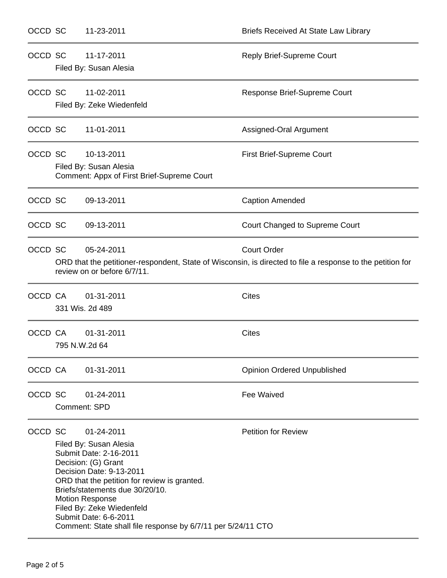| OCCD SC |                                                                                                                                                                               | 11-23-2011                                                                                                                                                                                                                                                                                                                                           | <b>Briefs Received At State Law Library</b> |  |
|---------|-------------------------------------------------------------------------------------------------------------------------------------------------------------------------------|------------------------------------------------------------------------------------------------------------------------------------------------------------------------------------------------------------------------------------------------------------------------------------------------------------------------------------------------------|---------------------------------------------|--|
| OCCD SC |                                                                                                                                                                               | 11-17-2011<br>Filed By: Susan Alesia                                                                                                                                                                                                                                                                                                                 | <b>Reply Brief-Supreme Court</b>            |  |
| OCCD SC | 11-02-2011<br>Filed By: Zeke Wiedenfeld                                                                                                                                       |                                                                                                                                                                                                                                                                                                                                                      | Response Brief-Supreme Court                |  |
| OCCD SC |                                                                                                                                                                               | 11-01-2011                                                                                                                                                                                                                                                                                                                                           | Assigned-Oral Argument                      |  |
| OCCD SC |                                                                                                                                                                               | 10-13-2011<br>Filed By: Susan Alesia<br>Comment: Appx of First Brief-Supreme Court                                                                                                                                                                                                                                                                   | First Brief-Supreme Court                   |  |
| OCCD SC |                                                                                                                                                                               | 09-13-2011                                                                                                                                                                                                                                                                                                                                           | <b>Caption Amended</b>                      |  |
| OCCD SC |                                                                                                                                                                               | 09-13-2011                                                                                                                                                                                                                                                                                                                                           | Court Changed to Supreme Court              |  |
| OCCD SC | <b>Court Order</b><br>05-24-2011<br>ORD that the petitioner-respondent, State of Wisconsin, is directed to file a response to the petition for<br>review on or before 6/7/11. |                                                                                                                                                                                                                                                                                                                                                      |                                             |  |
| OCCD CA |                                                                                                                                                                               | 01-31-2011<br>331 Wis. 2d 489                                                                                                                                                                                                                                                                                                                        | <b>Cites</b>                                |  |
| OCCD CA |                                                                                                                                                                               | 01-31-2011<br>795 N.W.2d 64                                                                                                                                                                                                                                                                                                                          | <b>Cites</b>                                |  |
| OCCD CA |                                                                                                                                                                               | 01-31-2011                                                                                                                                                                                                                                                                                                                                           | <b>Opinion Ordered Unpublished</b>          |  |
| OCCD SC |                                                                                                                                                                               | 01-24-2011<br><b>Comment: SPD</b>                                                                                                                                                                                                                                                                                                                    | Fee Waived                                  |  |
| OCCD SC |                                                                                                                                                                               | 01-24-2011<br>Filed By: Susan Alesia<br>Submit Date: 2-16-2011<br>Decision: (G) Grant<br>Decision Date: 9-13-2011<br>ORD that the petition for review is granted.<br>Briefs/statements due 30/20/10.<br><b>Motion Response</b><br>Filed By: Zeke Wiedenfeld<br>Submit Date: 6-6-2011<br>Comment: State shall file response by 6/7/11 per 5/24/11 CTO | <b>Petition for Review</b>                  |  |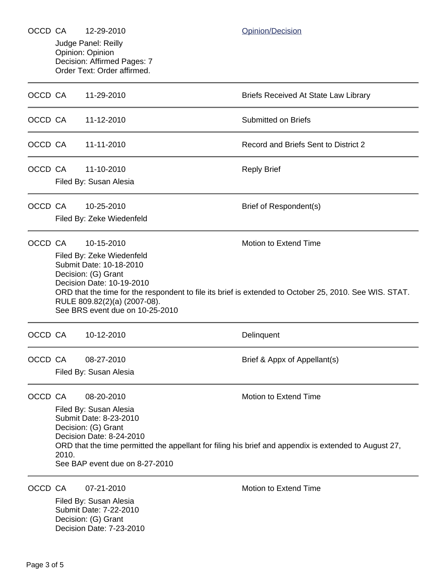| OCCD CA |                                                                                                       | 12-29-2010                                                                                                                                                                | Opinion/Decision                            |  |  |  |  |
|---------|-------------------------------------------------------------------------------------------------------|---------------------------------------------------------------------------------------------------------------------------------------------------------------------------|---------------------------------------------|--|--|--|--|
|         | Judge Panel: Reilly<br>Opinion: Opinion<br>Decision: Affirmed Pages: 7                                |                                                                                                                                                                           |                                             |  |  |  |  |
|         |                                                                                                       | Order Text: Order affirmed.                                                                                                                                               |                                             |  |  |  |  |
| OCCD CA |                                                                                                       | 11-29-2010                                                                                                                                                                | <b>Briefs Received At State Law Library</b> |  |  |  |  |
| OCCD CA |                                                                                                       | 11-12-2010                                                                                                                                                                | <b>Submitted on Briefs</b>                  |  |  |  |  |
| OCCD CA |                                                                                                       | 11-11-2010                                                                                                                                                                | Record and Briefs Sent to District 2        |  |  |  |  |
| OCCD CA |                                                                                                       | 11-10-2010                                                                                                                                                                | <b>Reply Brief</b>                          |  |  |  |  |
|         |                                                                                                       | Filed By: Susan Alesia                                                                                                                                                    |                                             |  |  |  |  |
| OCCD CA |                                                                                                       | 10-25-2010                                                                                                                                                                | Brief of Respondent(s)                      |  |  |  |  |
|         |                                                                                                       | Filed By: Zeke Wiedenfeld                                                                                                                                                 |                                             |  |  |  |  |
| OCCD CA |                                                                                                       | 10-15-2010                                                                                                                                                                | Motion to Extend Time                       |  |  |  |  |
|         |                                                                                                       | Filed By: Zeke Wiedenfeld                                                                                                                                                 |                                             |  |  |  |  |
|         |                                                                                                       | Submit Date: 10-18-2010<br>Decision: (G) Grant                                                                                                                            |                                             |  |  |  |  |
|         |                                                                                                       | Decision Date: 10-19-2010                                                                                                                                                 |                                             |  |  |  |  |
|         |                                                                                                       | ORD that the time for the respondent to file its brief is extended to October 25, 2010. See WIS. STAT.<br>RULE 809.82(2)(a) (2007-08).<br>See BRS event due on 10-25-2010 |                                             |  |  |  |  |
| OCCD CA |                                                                                                       | 10-12-2010                                                                                                                                                                | Delinquent                                  |  |  |  |  |
| OCCD CA |                                                                                                       | 08-27-2010                                                                                                                                                                | Brief & Appx of Appellant(s)                |  |  |  |  |
|         | Filed By: Susan Alesia                                                                                |                                                                                                                                                                           |                                             |  |  |  |  |
| OCCD CA |                                                                                                       | 08-20-2010                                                                                                                                                                | Motion to Extend Time                       |  |  |  |  |
|         | Filed By: Susan Alesia                                                                                |                                                                                                                                                                           |                                             |  |  |  |  |
|         | Submit Date: 8-23-2010                                                                                |                                                                                                                                                                           |                                             |  |  |  |  |
|         | Decision: (G) Grant<br>Decision Date: 8-24-2010                                                       |                                                                                                                                                                           |                                             |  |  |  |  |
|         | ORD that the time permitted the appellant for filing his brief and appendix is extended to August 27, |                                                                                                                                                                           |                                             |  |  |  |  |
|         |                                                                                                       | 2010.<br>See BAP event due on 8-27-2010                                                                                                                                   |                                             |  |  |  |  |
| OCCD CA |                                                                                                       | 07-21-2010                                                                                                                                                                | <b>Motion to Extend Time</b>                |  |  |  |  |
|         |                                                                                                       | Filed By: Susan Alesia                                                                                                                                                    |                                             |  |  |  |  |
|         |                                                                                                       | Submit Date: 7-22-2010                                                                                                                                                    |                                             |  |  |  |  |
|         | Decision: (G) Grant<br>Decision Date: 7-23-2010                                                       |                                                                                                                                                                           |                                             |  |  |  |  |
|         |                                                                                                       |                                                                                                                                                                           |                                             |  |  |  |  |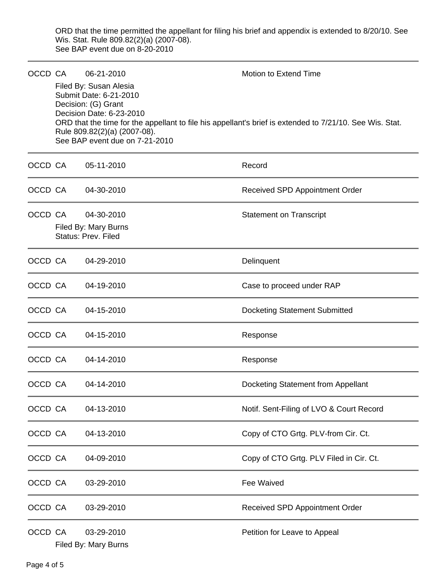ORD that the time permitted the appellant for filing his brief and appendix is extended to 8/20/10. See Wis. Stat. Rule 809.82(2)(a) (2007-08). See BAP event due on 8-20-2010

| OCCD CA | 06-21-2010                                                                                                                                                            | Motion to Extend Time                                                                                    |
|---------|-----------------------------------------------------------------------------------------------------------------------------------------------------------------------|----------------------------------------------------------------------------------------------------------|
|         | Filed By: Susan Alesia<br>Submit Date: 6-21-2010<br>Decision: (G) Grant<br>Decision Date: 6-23-2010<br>Rule 809.82(2)(a) (2007-08).<br>See BAP event due on 7-21-2010 | ORD that the time for the appellant to file his appellant's brief is extended to 7/21/10. See Wis. Stat. |
| OCCD CA | 05-11-2010                                                                                                                                                            | Record                                                                                                   |
| OCCD CA | 04-30-2010                                                                                                                                                            | Received SPD Appointment Order                                                                           |
| OCCD CA | 04-30-2010<br>Filed By: Mary Burns<br><b>Status: Prev. Filed</b>                                                                                                      | <b>Statement on Transcript</b>                                                                           |
| OCCD CA | 04-29-2010                                                                                                                                                            | Delinquent                                                                                               |
| OCCD CA | 04-19-2010                                                                                                                                                            | Case to proceed under RAP                                                                                |
| OCCD CA | 04-15-2010                                                                                                                                                            | <b>Docketing Statement Submitted</b>                                                                     |
| OCCD CA | 04-15-2010                                                                                                                                                            | Response                                                                                                 |
| OCCD CA | 04-14-2010                                                                                                                                                            | Response                                                                                                 |
| OCCD CA | 04-14-2010                                                                                                                                                            | Docketing Statement from Appellant                                                                       |
| OCCD CA | 04-13-2010                                                                                                                                                            | Notif. Sent-Filing of LVO & Court Record                                                                 |
| OCCD CA | 04-13-2010                                                                                                                                                            | Copy of CTO Grtg. PLV-from Cir. Ct.                                                                      |
| OCCD CA | 04-09-2010                                                                                                                                                            | Copy of CTO Grtg. PLV Filed in Cir. Ct.                                                                  |
| OCCD CA | 03-29-2010                                                                                                                                                            | Fee Waived                                                                                               |
| OCCD CA | 03-29-2010                                                                                                                                                            | Received SPD Appointment Order                                                                           |
| OCCD CA | 03-29-2010<br>Filed By: Mary Burns                                                                                                                                    | Petition for Leave to Appeal                                                                             |